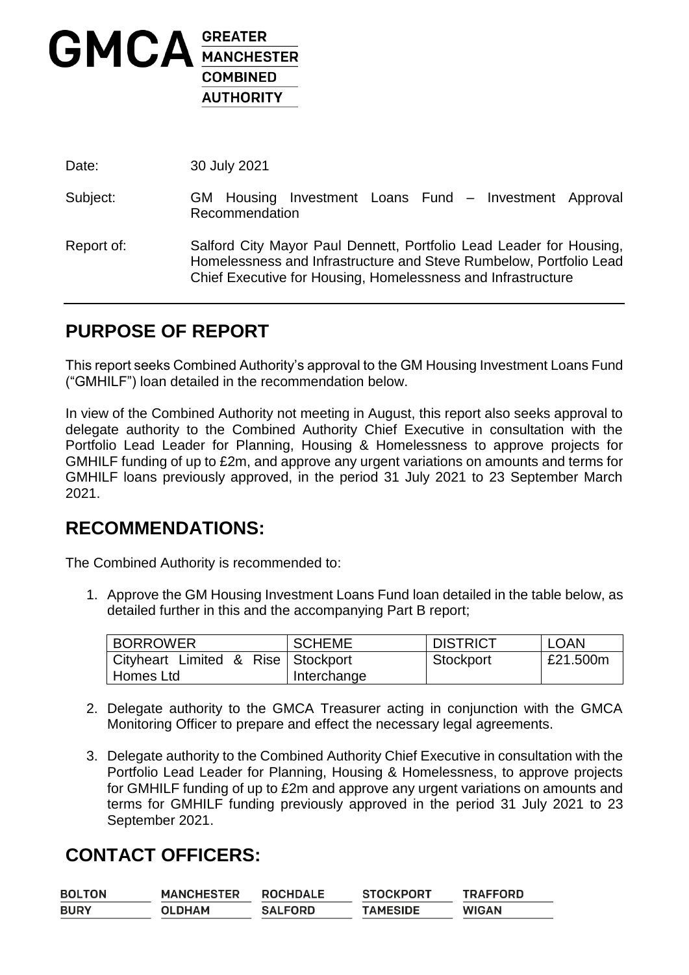

Date: 30 July 2021

- Subject: GM Housing Investment Loans Fund Investment Approval Recommendation
- Report of: Salford City Mayor Paul Dennett, Portfolio Lead Leader for Housing, Homelessness and Infrastructure and Steve Rumbelow, Portfolio Lead Chief Executive for Housing, Homelessness and Infrastructure

## **PURPOSE OF REPORT**

This report seeks Combined Authority's approval to the GM Housing Investment Loans Fund ("GMHILF") loan detailed in the recommendation below.

In view of the Combined Authority not meeting in August, this report also seeks approval to delegate authority to the Combined Authority Chief Executive in consultation with the Portfolio Lead Leader for Planning, Housing & Homelessness to approve projects for GMHILF funding of up to £2m, and approve any urgent variations on amounts and terms for GMHILF loans previously approved, in the period 31 July 2021 to 23 September March 2021.

#### **RECOMMENDATIONS:**

The Combined Authority is recommended to:

1. Approve the GM Housing Investment Loans Fund loan detailed in the table below, as detailed further in this and the accompanying Part B report;

| <b>BORROWER</b>                    | <b>SCHEME</b> | <b>DISTRICT</b> | LOAN     |
|------------------------------------|---------------|-----------------|----------|
| Cityheart Limited & Rise Stockport |               | Stockport       | £21.500m |
| Homes Ltd                          | Interchange   |                 |          |

- 2. Delegate authority to the GMCA Treasurer acting in conjunction with the GMCA Monitoring Officer to prepare and effect the necessary legal agreements.
- 3. Delegate authority to the Combined Authority Chief Executive in consultation with the Portfolio Lead Leader for Planning, Housing & Homelessness, to approve projects for GMHILF funding of up to £2m and approve any urgent variations on amounts and terms for GMHILF funding previously approved in the period 31 July 2021 to 23 September 2021.

## **CONTACT OFFICERS:**

| <b>BOLTON</b> | <b>MANCHESTER</b> | <b>ROCHDALE</b> | <b>STOCKPORT</b> | <b>TRAFFORD</b> |
|---------------|-------------------|-----------------|------------------|-----------------|
| <b>BURY</b>   | OLDHAM            | <b>SALFORD</b>  | <b>TAMESIDE</b>  | <b>WIGAN</b>    |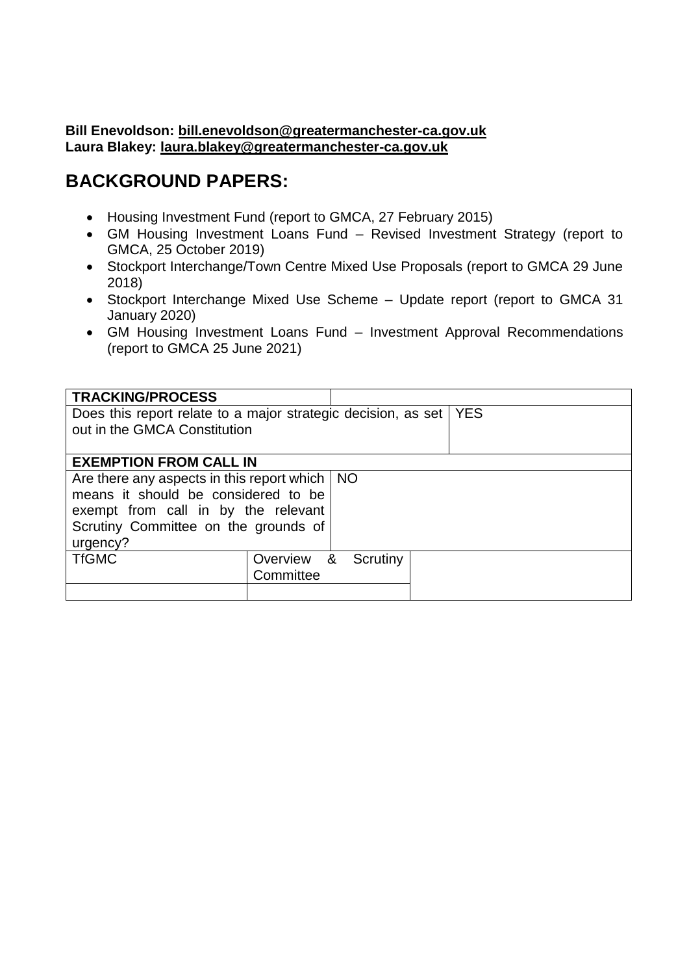#### **Bill Enevoldson: [bill.enevoldson@greatermanchester-ca.gov.uk](mailto:bill.enevoldson@greatermanchester-ca.gov.uk) Laura Blakey: [laura.blakey@greatermanchester-ca.gov.uk](mailto:laura.blakey@greatermanchester-ca.gov.uk)**

## **BACKGROUND PAPERS:**

- Housing Investment Fund (report to GMCA, 27 February 2015)
- GM Housing Investment Loans Fund Revised Investment Strategy (report to GMCA, 25 October 2019)
- Stockport Interchange/Town Centre Mixed Use Proposals (report to GMCA 29 June 2018)
- Stockport Interchange Mixed Use Scheme Update report (report to GMCA 31 January 2020)
- GM Housing Investment Loans Fund Investment Approval Recommendations (report to GMCA 25 June 2021)

| <b>TRACKING/PROCESS</b>                                       |            |          |  |  |  |
|---------------------------------------------------------------|------------|----------|--|--|--|
| Does this report relate to a major strategic decision, as set | <b>YES</b> |          |  |  |  |
| out in the GMCA Constitution                                  |            |          |  |  |  |
|                                                               |            |          |  |  |  |
| <b>EXEMPTION FROM CALL IN</b>                                 |            |          |  |  |  |
| Are there any aspects in this report which $\vert$ NO         |            |          |  |  |  |
| means it should be considered to be                           |            |          |  |  |  |
| exempt from call in by the relevant                           |            |          |  |  |  |
| Scrutiny Committee on the grounds of                          |            |          |  |  |  |
| urgency?                                                      |            |          |  |  |  |
| <b>TfGMC</b>                                                  | Overview & | Scrutiny |  |  |  |
|                                                               | Committee  |          |  |  |  |
|                                                               |            |          |  |  |  |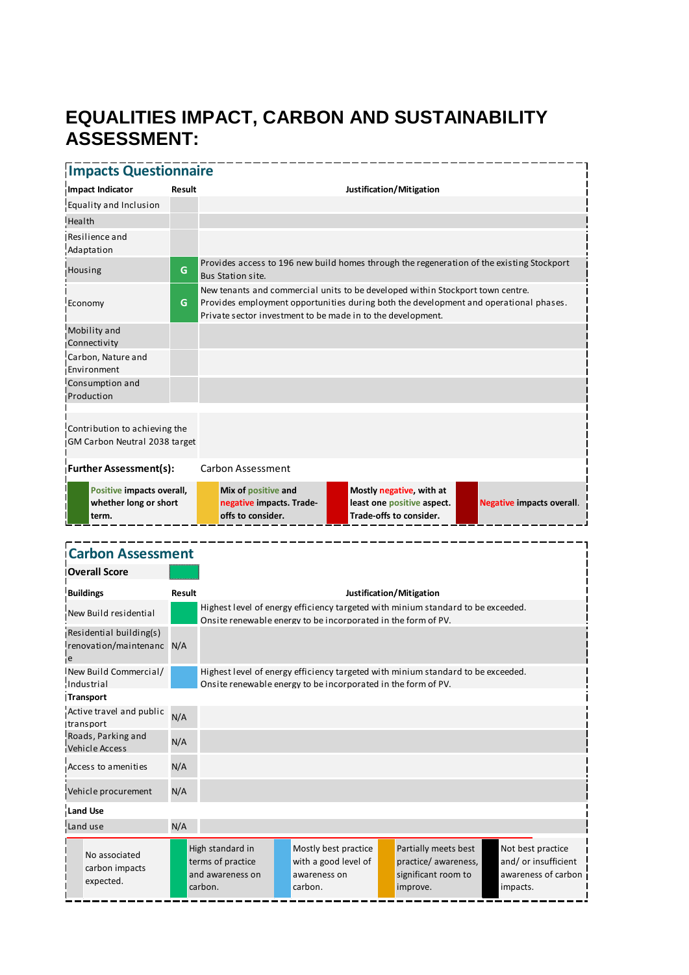## **EQUALITIES IMPACT, CARBON AND SUSTAINABILITY ASSESSMENT:**

#### **Impacts Questionnaire Impact Indicator Result Justification/Mitigation** Equality and Inclusion **Health** Resilience and Adaptation Housing **G** Provides access to 196 new build homes through the regeneration of the existing Stockport Bus Station site. Economy **G** New tenants and commercial units to be developed within Stockport town centre. Provides employment opportunities during both the development and operational phases. Private sector investment to be made in to the development. Mobility and **Connectivity** Carbon, Nature and Environment Consumption and Production **Further Assessment(s):** Carbon Assessment Contribution to achieving the GM Carbon Neutral 2038 target **Positive impacts overall, whether long or short term. Mix of positive and negative impacts. Tradeoffs to consider. Mostly negative, with at least one positive aspect. Trade-offs to consider. Negative impacts overall**. **Carbon Assessment Overall Score Buildings Result Justification/Mitigation** I.<br>New Build residential 1.14 Highest level of energy efficiency targeted with minium standard to be exceeded. Onsite renewable energy to be incorporated in the form of PV.

Residential building(s) renovation/maintenanc N/A e New Build Commercial/ Industrial Highest level of energy efficiency targeted with minium standard to be exceeded. Onsite renewable energy to be incorporated in the form of PV. **Transport** Active travel and public transport N/A Roads, Parking and Vehicle Access N/A Access to amenities N/A Vehicle procurement N/A **Land Use** Land use N/A No associated carbon impacts expected. High standard in terms of practice and awareness on carbon. Mostly best practice with a good level of awareness on carbon. Partially meets best practice/ awareness, significant room to improve. Not best practice and/ or insufficient awareness of carbon impacts.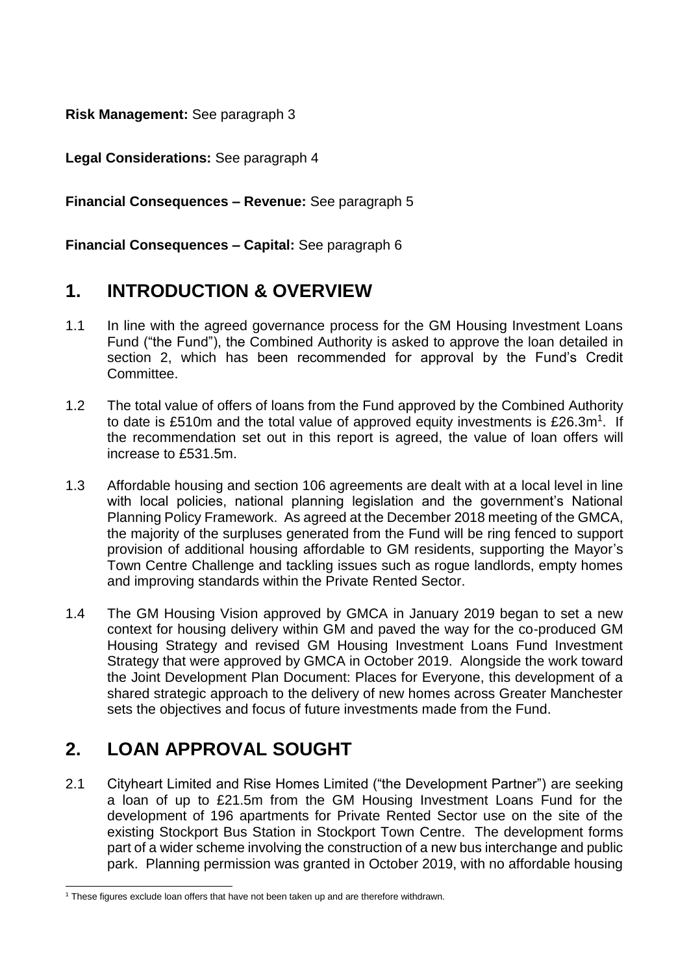**Risk Management:** See paragraph 3

**Legal Considerations:** See paragraph 4

**Financial Consequences – Revenue:** See paragraph 5

**Financial Consequences – Capital:** See paragraph 6

## **1. INTRODUCTION & OVERVIEW**

- 1.1 In line with the agreed governance process for the GM Housing Investment Loans Fund ("the Fund"), the Combined Authority is asked to approve the loan detailed in section 2, which has been recommended for approval by the Fund's Credit Committee.
- 1.2 The total value of offers of loans from the Fund approved by the Combined Authority to date is £510m and the total value of approved equity investments is  $£26.3m<sup>1</sup>$ . If the recommendation set out in this report is agreed, the value of loan offers will increase to £531.5m.
- 1.3 Affordable housing and section 106 agreements are dealt with at a local level in line with local policies, national planning legislation and the government's National Planning Policy Framework. As agreed at the December 2018 meeting of the GMCA, the majority of the surpluses generated from the Fund will be ring fenced to support provision of additional housing affordable to GM residents, supporting the Mayor's Town Centre Challenge and tackling issues such as rogue landlords, empty homes and improving standards within the Private Rented Sector.
- 1.4 The GM Housing Vision approved by GMCA in January 2019 began to set a new context for housing delivery within GM and paved the way for the co-produced GM Housing Strategy and revised GM Housing Investment Loans Fund Investment Strategy that were approved by GMCA in October 2019. Alongside the work toward the Joint Development Plan Document: Places for Everyone, this development of a shared strategic approach to the delivery of new homes across Greater Manchester sets the objectives and focus of future investments made from the Fund.

## **2. LOAN APPROVAL SOUGHT**

-

2.1 Cityheart Limited and Rise Homes Limited ("the Development Partner") are seeking a loan of up to £21.5m from the GM Housing Investment Loans Fund for the development of 196 apartments for Private Rented Sector use on the site of the existing Stockport Bus Station in Stockport Town Centre. The development forms part of a wider scheme involving the construction of a new bus interchange and public park. Planning permission was granted in October 2019, with no affordable housing

<sup>1</sup> These figures exclude loan offers that have not been taken up and are therefore withdrawn.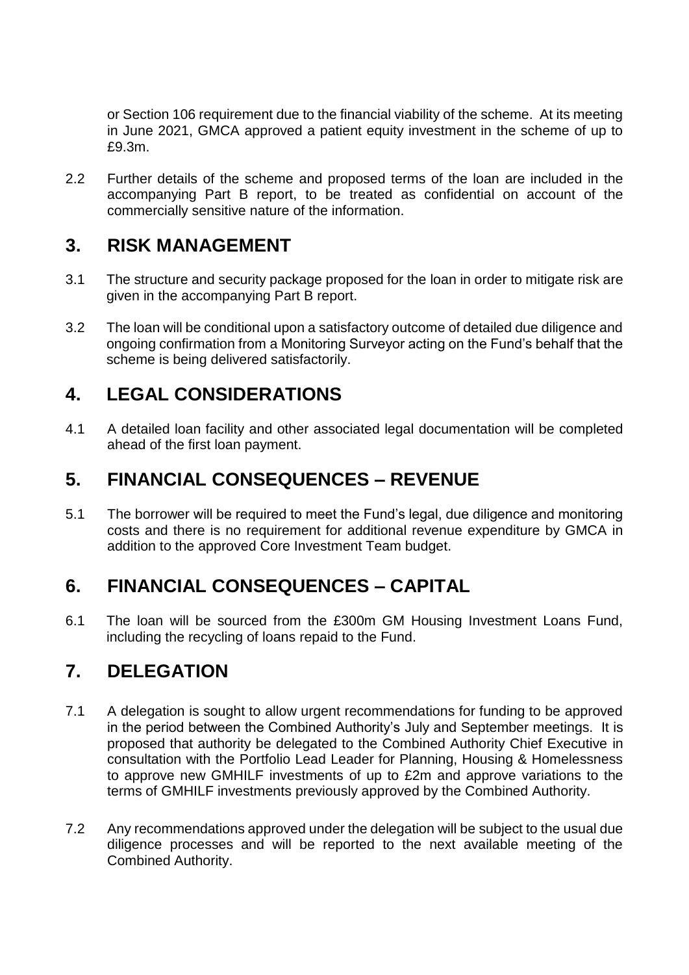or Section 106 requirement due to the financial viability of the scheme. At its meeting in June 2021, GMCA approved a patient equity investment in the scheme of up to £9.3m.

2.2 Further details of the scheme and proposed terms of the loan are included in the accompanying Part B report, to be treated as confidential on account of the commercially sensitive nature of the information.

#### **3. RISK MANAGEMENT**

- 3.1 The structure and security package proposed for the loan in order to mitigate risk are given in the accompanying Part B report.
- 3.2 The loan will be conditional upon a satisfactory outcome of detailed due diligence and ongoing confirmation from a Monitoring Surveyor acting on the Fund's behalf that the scheme is being delivered satisfactorily.

## **4. LEGAL CONSIDERATIONS**

4.1 A detailed loan facility and other associated legal documentation will be completed ahead of the first loan payment.

## **5. FINANCIAL CONSEQUENCES – REVENUE**

5.1 The borrower will be required to meet the Fund's legal, due diligence and monitoring costs and there is no requirement for additional revenue expenditure by GMCA in addition to the approved Core Investment Team budget.

## **6. FINANCIAL CONSEQUENCES – CAPITAL**

6.1 The loan will be sourced from the £300m GM Housing Investment Loans Fund, including the recycling of loans repaid to the Fund.

## **7. DELEGATION**

- 7.1 A delegation is sought to allow urgent recommendations for funding to be approved in the period between the Combined Authority's July and September meetings. It is proposed that authority be delegated to the Combined Authority Chief Executive in consultation with the Portfolio Lead Leader for Planning, Housing & Homelessness to approve new GMHILF investments of up to £2m and approve variations to the terms of GMHILF investments previously approved by the Combined Authority.
- 7.2 Any recommendations approved under the delegation will be subject to the usual due diligence processes and will be reported to the next available meeting of the Combined Authority.